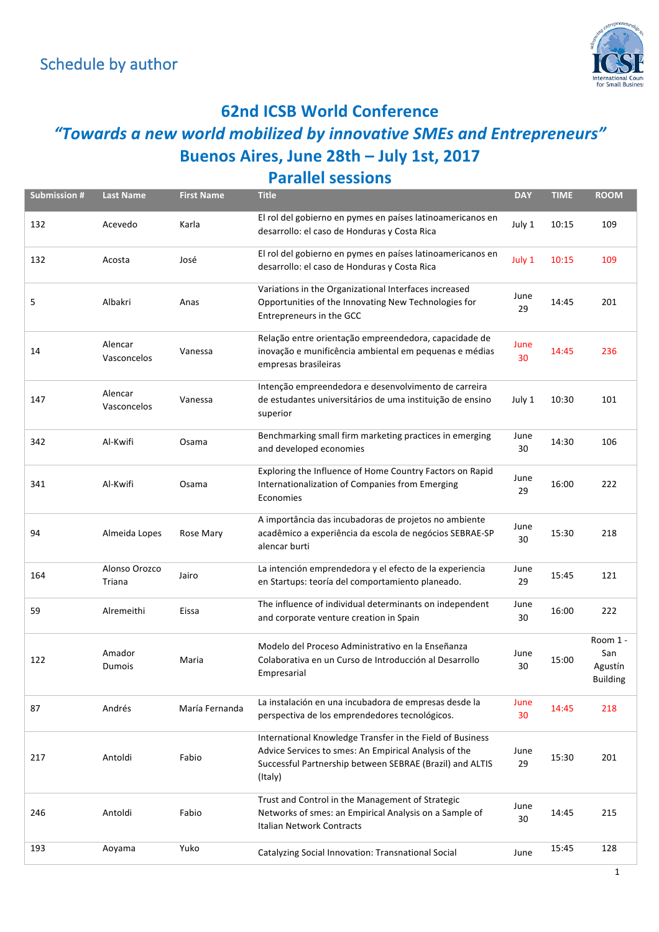

#### **62nd ICSB World Conference**

#### *"Towards a new world mobilized by innovative SMEs and Entrepreneurs"* **Buenos Aires, June 28th – July 1st, 2017**

#### **Parallel sessions**

| <b>Submission #</b> | <b>Last Name</b>        | <b>First Name</b> | <b>Title</b>                                                                                                                                                                              | <b>DAY</b> | <b>TIME</b> | <b>ROOM</b>                                   |
|---------------------|-------------------------|-------------------|-------------------------------------------------------------------------------------------------------------------------------------------------------------------------------------------|------------|-------------|-----------------------------------------------|
| 132                 | Acevedo                 | Karla             | El rol del gobierno en pymes en países latinoamericanos en<br>desarrollo: el caso de Honduras y Costa Rica                                                                                | July 1     | 10:15       | 109                                           |
| 132                 | Acosta                  | José              | El rol del gobierno en pymes en países latinoamericanos en<br>desarrollo: el caso de Honduras y Costa Rica                                                                                | July 1     | 10:15       | 109                                           |
| 5                   | Albakri                 | Anas              | Variations in the Organizational Interfaces increased<br>Opportunities of the Innovating New Technologies for<br>Entrepreneurs in the GCC                                                 | June<br>29 | 14:45       | 201                                           |
| 14                  | Alencar<br>Vasconcelos  | Vanessa           | Relação entre orientação empreendedora, capacidade de<br>inovação e munificência ambiental em pequenas e médias<br>empresas brasileiras                                                   | June<br>30 | 14:45       | 236                                           |
| 147                 | Alencar<br>Vasconcelos  | Vanessa           | Intenção empreendedora e desenvolvimento de carreira<br>de estudantes universitários de uma instituição de ensino<br>superior                                                             | July 1     | 10:30       | 101                                           |
| 342                 | Al-Kwifi                | Osama             | Benchmarking small firm marketing practices in emerging<br>and developed economies                                                                                                        | June<br>30 | 14:30       | 106                                           |
| 341                 | Al-Kwifi                | Osama             | Exploring the Influence of Home Country Factors on Rapid<br>Internationalization of Companies from Emerging<br>Economies                                                                  | June<br>29 | 16:00       | 222                                           |
| 94                  | Almeida Lopes           | Rose Mary         | A importância das incubadoras de projetos no ambiente<br>acadêmico a experiência da escola de negócios SEBRAE-SP<br>alencar burti                                                         | June<br>30 | 15:30       | 218                                           |
| 164                 | Alonso Orozco<br>Triana | Jairo             | La intención emprendedora y el efecto de la experiencia<br>en Startups: teoría del comportamiento planeado.                                                                               | June<br>29 | 15:45       | 121                                           |
| 59                  | Alremeithi              | Eissa             | The influence of individual determinants on independent<br>and corporate venture creation in Spain                                                                                        | June<br>30 | 16:00       | 222                                           |
| 122                 | Amador<br>Dumois        | Maria             | Modelo del Proceso Administrativo en la Enseñanza<br>Colaborativa en un Curso de Introducción al Desarrollo<br>Empresarial                                                                | June<br>30 | 15:00       | Room 1 -<br>San<br>Agustín<br><b>Building</b> |
| 87                  | Andrés                  | María Fernanda    | La instalación en una incubadora de empresas desde la<br>perspectiva de los emprendedores tecnológicos.                                                                                   | June<br>30 | 14:45       | 218                                           |
| 217                 | Antoldi                 | Fabio             | International Knowledge Transfer in the Field of Business<br>Advice Services to smes: An Empirical Analysis of the<br>Successful Partnership between SEBRAE (Brazil) and ALTIS<br>(Italy) | June<br>29 | 15:30       | 201                                           |
| 246                 | Antoldi                 | Fabio             | Trust and Control in the Management of Strategic<br>Networks of smes: an Empirical Analysis on a Sample of<br>Italian Network Contracts                                                   | June<br>30 | 14:45       | 215                                           |
| 193                 | Aoyama                  | Yuko              | Catalyzing Social Innovation: Transnational Social                                                                                                                                        | June       | 15:45       | 128                                           |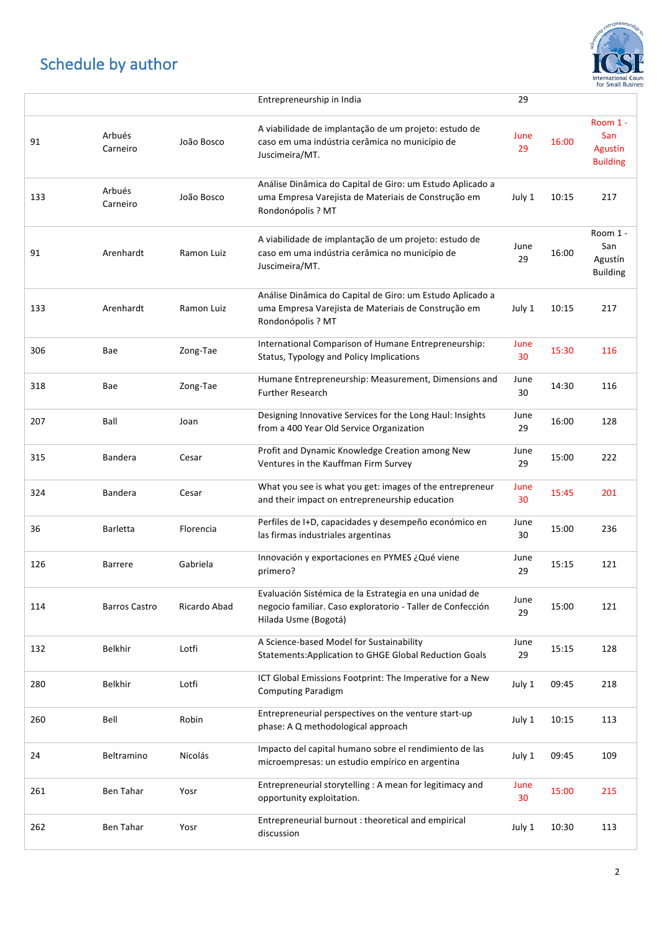

|     |                      |              | Entrepreneurship in India                                                                                                                    | 29         |       |                                               |
|-----|----------------------|--------------|----------------------------------------------------------------------------------------------------------------------------------------------|------------|-------|-----------------------------------------------|
| 91  | Arbués<br>Carneiro   | João Bosco   | A viabilidade de implantação de um projeto: estudo de<br>caso em uma indústria cerâmica no município de<br>Juscimeira/MT.                    | June<br>29 | 16:00 | Room 1 -<br>San<br>Agustín<br><b>Building</b> |
| 133 | Arbués<br>Carneiro   | João Bosco   | Análise Dinâmica do Capital de Giro: um Estudo Aplicado a<br>uma Empresa Varejista de Materiais de Construção em<br>Rondonópolis ? MT        | July 1     | 10:15 | 217                                           |
| 91  | Arenhardt            | Ramon Luiz   | A viabilidade de implantação de um projeto: estudo de<br>caso em uma indústria cerâmica no município de<br>Juscimeira/MT.                    | June<br>29 | 16:00 | Room 1 -<br>San<br>Agustín<br><b>Building</b> |
| 133 | Arenhardt            | Ramon Luiz   | Análise Dinâmica do Capital de Giro: um Estudo Aplicado a<br>uma Empresa Varejista de Materiais de Construção em<br>Rondonópolis ? MT        | July 1     | 10:15 | 217                                           |
| 306 | Bae                  | Zong-Tae     | International Comparison of Humane Entrepreneurship:<br>Status, Typology and Policy Implications                                             | June<br>30 | 15:30 | 116                                           |
| 318 | Bae                  | Zong-Tae     | Humane Entrepreneurship: Measurement, Dimensions and<br><b>Further Research</b>                                                              | June<br>30 | 14:30 | 116                                           |
| 207 | Ball                 | Joan         | Designing Innovative Services for the Long Haul: Insights<br>from a 400 Year Old Service Organization                                        | June<br>29 | 16:00 | 128                                           |
| 315 | Bandera              | Cesar        | Profit and Dynamic Knowledge Creation among New<br>Ventures in the Kauffman Firm Survey                                                      | June<br>29 | 15:00 | 222                                           |
| 324 | <b>Bandera</b>       | Cesar        | What you see is what you get: images of the entrepreneur<br>and their impact on entrepreneurship education                                   | June<br>30 | 15:45 | 201                                           |
| 36  | <b>Barletta</b>      | Florencia    | Perfiles de I+D, capacidades y desempeño económico en<br>las firmas industriales argentinas                                                  | June<br>30 | 15:00 | 236                                           |
| 126 | <b>Barrere</b>       | Gabriela     | Innovación y exportaciones en PYMES ¿Qué viene<br>primero?                                                                                   | June<br>29 | 15:15 | 121                                           |
| 114 | <b>Barros Castro</b> | Ricardo Abad | Evaluación Sistémica de la Estrategia en una unidad de<br>negocio familiar. Caso exploratorio - Taller de Confección<br>Hilada Usme (Bogotá) | June<br>29 | 15:00 | 121                                           |
| 132 | <b>Belkhir</b>       | Lotfi        | A Science-based Model for Sustainability<br>Statements: Application to GHGE Global Reduction Goals                                           | June<br>29 | 15:15 | 128                                           |
| 280 | Belkhir              | Lotfi        | ICT Global Emissions Footprint: The Imperative for a New<br><b>Computing Paradigm</b>                                                        | July 1     | 09:45 | 218                                           |
| 260 | Bell                 | Robin        | Entrepreneurial perspectives on the venture start-up<br>phase: A Q methodological approach                                                   | July 1     | 10:15 | 113                                           |
| 24  | Beltramino           | Nicolás      | Impacto del capital humano sobre el rendimiento de las<br>microempresas: un estudio empírico en argentina                                    | July 1     | 09:45 | 109                                           |
| 261 | Ben Tahar            | Yosr         | Entrepreneurial storytelling : A mean for legitimacy and<br>opportunity exploitation.                                                        | June<br>30 | 15:00 | 215                                           |
| 262 | Ben Tahar            | Yosr         | Entrepreneurial burnout : theoretical and empirical<br>discussion                                                                            | July 1     | 10:30 | 113                                           |
|     |                      |              |                                                                                                                                              |            |       |                                               |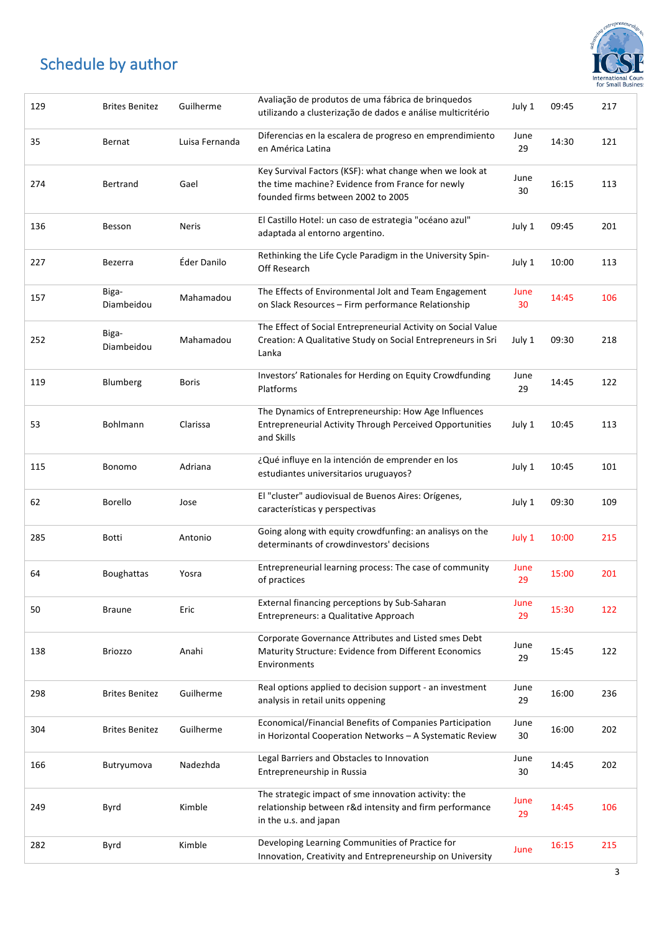

| 129 | <b>Brites Benitez</b> | Guilherme      | Avaliação de produtos de uma fábrica de brinquedos<br>utilizando a clusterização de dados e análise multicritério                                 | July 1     | 09:45 | 217 |
|-----|-----------------------|----------------|---------------------------------------------------------------------------------------------------------------------------------------------------|------------|-------|-----|
| 35  | Bernat                | Luisa Fernanda | Diferencias en la escalera de progreso en emprendimiento<br>en América Latina                                                                     | June<br>29 | 14:30 | 121 |
| 274 | Bertrand              | Gael           | Key Survival Factors (KSF): what change when we look at<br>the time machine? Evidence from France for newly<br>founded firms between 2002 to 2005 | June<br>30 | 16:15 | 113 |
| 136 | Besson                | Neris          | El Castillo Hotel: un caso de estrategia "océano azul"<br>adaptada al entorno argentino.                                                          | July 1     | 09:45 | 201 |
| 227 | Bezerra               | Éder Danilo    | Rethinking the Life Cycle Paradigm in the University Spin-<br>Off Research                                                                        | July 1     | 10:00 | 113 |
| 157 | Biga-<br>Diambeidou   | Mahamadou      | The Effects of Environmental Jolt and Team Engagement<br>on Slack Resources - Firm performance Relationship                                       | June<br>30 | 14:45 | 106 |
| 252 | Biga-<br>Diambeidou   | Mahamadou      | The Effect of Social Entrepreneurial Activity on Social Value<br>Creation: A Qualitative Study on Social Entrepreneurs in Sri<br>Lanka            | July 1     | 09:30 | 218 |
| 119 | Blumberg              | <b>Boris</b>   | Investors' Rationales for Herding on Equity Crowdfunding<br>Platforms                                                                             | June<br>29 | 14:45 | 122 |
| 53  | Bohlmann              | Clarissa       | The Dynamics of Entrepreneurship: How Age Influences<br><b>Entrepreneurial Activity Through Perceived Opportunities</b><br>and Skills             | July 1     | 10:45 | 113 |
| 115 | Bonomo                | Adriana        | ¿Qué influye en la intención de emprender en los<br>estudiantes universitarios uruguayos?                                                         | July 1     | 10:45 | 101 |
| 62  | <b>Borello</b>        | Jose           | El "cluster" audiovisual de Buenos Aires: Orígenes,<br>características y perspectivas                                                             | July 1     | 09:30 | 109 |
| 285 | Botti                 | Antonio        | Going along with equity crowdfunfing: an analisys on the<br>determinants of crowdinvestors' decisions                                             | July 1     | 10:00 | 215 |
| 64  | Boughattas            | Yosra          | Entrepreneurial learning process: The case of community<br>of practices                                                                           | June<br>29 | 15:00 | 201 |
| 50  | <b>Braune</b>         | Eric           | External financing perceptions by Sub-Saharan<br>Entrepreneurs: a Qualitative Approach                                                            | June<br>29 | 15:30 | 122 |
| 138 | <b>Briozzo</b>        | Anahi          | Corporate Governance Attributes and Listed smes Debt<br>Maturity Structure: Evidence from Different Economics<br>Environments                     | June<br>29 | 15:45 | 122 |
| 298 | <b>Brites Benitez</b> | Guilherme      | Real options applied to decision support - an investment<br>analysis in retail units oppening                                                     | June<br>29 | 16:00 | 236 |
| 304 | <b>Brites Benitez</b> | Guilherme      | Economical/Financial Benefits of Companies Participation<br>in Horizontal Cooperation Networks - A Systematic Review                              | June<br>30 | 16:00 | 202 |
| 166 | Butryumova            | Nadezhda       | Legal Barriers and Obstacles to Innovation<br>Entrepreneurship in Russia                                                                          | June<br>30 | 14:45 | 202 |
| 249 | Byrd                  | Kimble         | The strategic impact of sme innovation activity: the<br>relationship between r&d intensity and firm performance<br>in the u.s. and japan          | June<br>29 | 14:45 | 106 |
| 282 | Byrd                  | Kimble         | Developing Learning Communities of Practice for<br>Innovation, Creativity and Entrepreneurship on University                                      | June       | 16:15 | 215 |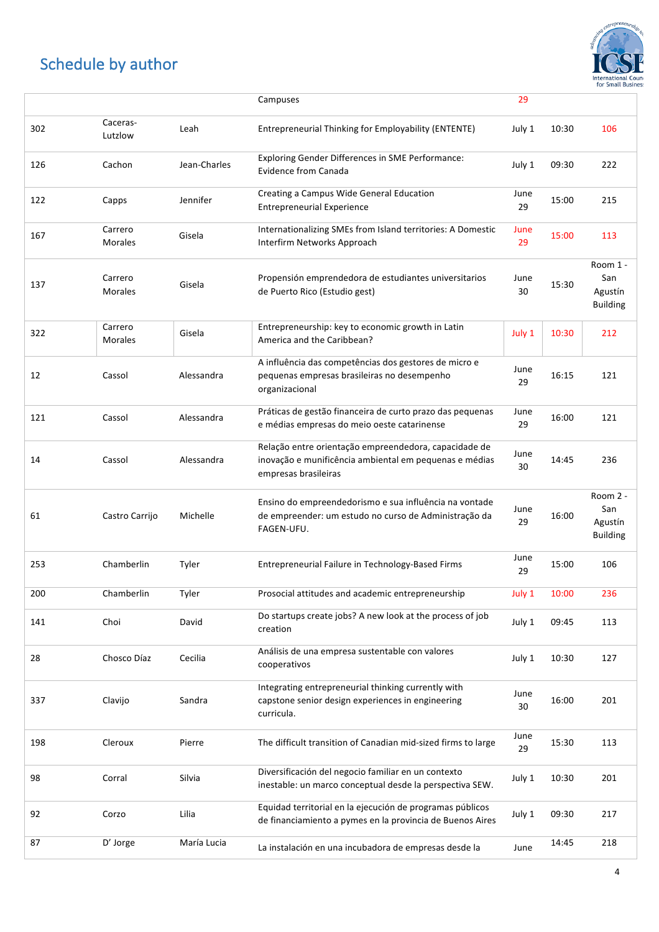

|     |                           |              | Campuses                                                                                                                                | 29         |       |                                               |
|-----|---------------------------|--------------|-----------------------------------------------------------------------------------------------------------------------------------------|------------|-------|-----------------------------------------------|
| 302 | Caceras-<br>Lutzlow       | Leah         | Entrepreneurial Thinking for Employability (ENTENTE)                                                                                    | July 1     | 10:30 | 106                                           |
| 126 | Cachon                    | Jean-Charles | <b>Exploring Gender Differences in SME Performance:</b><br><b>Evidence from Canada</b>                                                  | July 1     | 09:30 | 222                                           |
| 122 | Capps                     | Jennifer     | Creating a Campus Wide General Education<br><b>Entrepreneurial Experience</b>                                                           | June<br>29 | 15:00 | 215                                           |
| 167 | Carrero<br>Morales        | Gisela       | Internationalizing SMEs from Island territories: A Domestic<br>Interfirm Networks Approach                                              | June<br>29 | 15:00 | 113                                           |
| 137 | Carrero<br>Morales        | Gisela       | Propensión emprendedora de estudiantes universitarios<br>de Puerto Rico (Estudio gest)                                                  | June<br>30 | 15:30 | Room 1 -<br>San<br>Agustín<br><b>Building</b> |
| 322 | Carrero<br><b>Morales</b> | Gisela       | Entrepreneurship: key to economic growth in Latin<br>America and the Caribbean?                                                         | July 1     | 10:30 | 212                                           |
| 12  | Cassol                    | Alessandra   | A influência das competências dos gestores de micro e<br>pequenas empresas brasileiras no desempenho<br>organizacional                  | June<br>29 | 16:15 | 121                                           |
| 121 | Cassol                    | Alessandra   | Práticas de gestão financeira de curto prazo das pequenas<br>e médias empresas do meio oeste catarinense                                | June<br>29 | 16:00 | 121                                           |
| 14  | Cassol                    | Alessandra   | Relação entre orientação empreendedora, capacidade de<br>inovação e munificência ambiental em pequenas e médias<br>empresas brasileiras | June<br>30 | 14:45 | 236                                           |
| 61  | Castro Carrijo            | Michelle     | Ensino do empreendedorismo e sua influência na vontade<br>de empreender: um estudo no curso de Administração da<br>FAGEN-UFU.           | June<br>29 | 16:00 | Room 2 -<br>San<br>Agustín<br><b>Building</b> |
| 253 | Chamberlin                | Tyler        | Entrepreneurial Failure in Technology-Based Firms                                                                                       | June<br>29 | 15:00 | 106                                           |
| 200 | Chamberlin                | Tyler        | Prosocial attitudes and academic entrepreneurship                                                                                       | July 1     | 10:00 | 236                                           |
| 141 | Choi                      | David        | Do startups create jobs? A new look at the process of job<br>creation                                                                   | July 1     | 09:45 | 113                                           |
| 28  | Chosco Díaz               | Cecilia      | Análisis de una empresa sustentable con valores<br>cooperativos                                                                         | July 1     | 10:30 | 127                                           |
| 337 | Clavijo                   | Sandra       | Integrating entrepreneurial thinking currently with<br>capstone senior design experiences in engineering<br>curricula.                  | June<br>30 | 16:00 | 201                                           |
| 198 | Cleroux                   | Pierre       | The difficult transition of Canadian mid-sized firms to large                                                                           | June<br>29 | 15:30 | 113                                           |
| 98  | Corral                    | Silvia       | Diversificación del negocio familiar en un contexto<br>inestable: un marco conceptual desde la perspectiva SEW.                         | July 1     | 10:30 | 201                                           |
| 92  | Corzo                     | Lilia        | Equidad territorial en la ejecución de programas públicos<br>de financiamiento a pymes en la provincia de Buenos Aires                  | July 1     | 09:30 | 217                                           |
| 87  | D' Jorge                  | María Lucia  | La instalación en una incubadora de empresas desde la                                                                                   | June       | 14:45 | 218                                           |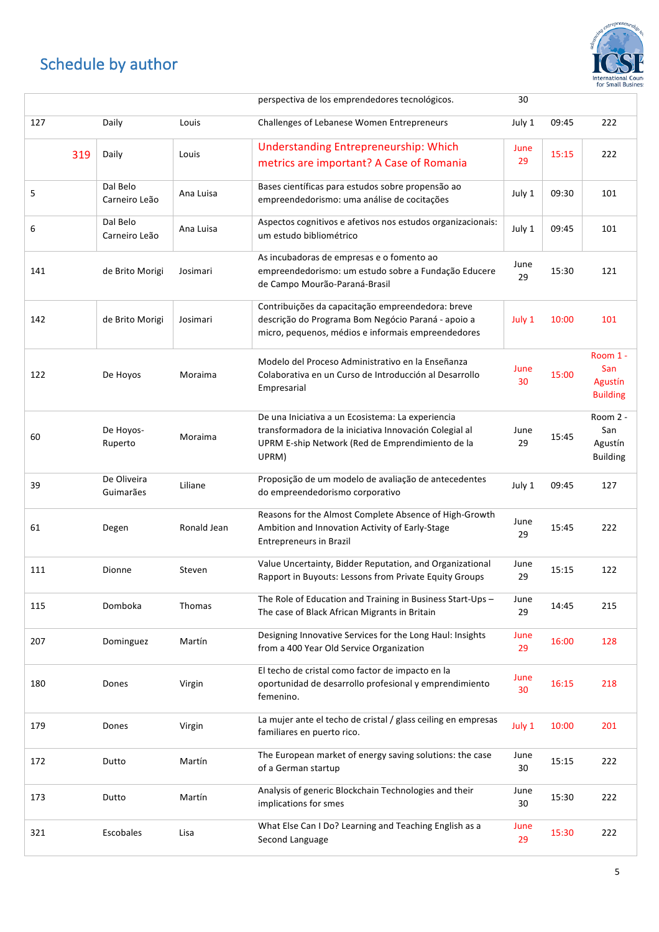

|     |                           |             | perspectiva de los emprendedores tecnológicos.                                                                                                                           | 30         |       |                                               |
|-----|---------------------------|-------------|--------------------------------------------------------------------------------------------------------------------------------------------------------------------------|------------|-------|-----------------------------------------------|
| 127 | Daily                     | Louis       | Challenges of Lebanese Women Entrepreneurs                                                                                                                               | July 1     | 09:45 | 222                                           |
| 319 | Daily                     | Louis       | <b>Understanding Entrepreneurship: Which</b><br>metrics are important? A Case of Romania                                                                                 | June<br>29 | 15:15 | 222                                           |
| 5   | Dal Belo<br>Carneiro Leão | Ana Luisa   | Bases científicas para estudos sobre propensão ao<br>empreendedorismo: uma análise de cocitações                                                                         | July 1     | 09:30 | 101                                           |
| 6   | Dal Belo<br>Carneiro Leão | Ana Luisa   | Aspectos cognitivos e afetivos nos estudos organizacionais:<br>um estudo bibliométrico                                                                                   | July 1     | 09:45 | 101                                           |
| 141 | de Brito Morigi           | Josimari    | As incubadoras de empresas e o fomento ao<br>empreendedorismo: um estudo sobre a Fundação Educere<br>de Campo Mourão-Paraná-Brasil                                       | June<br>29 | 15:30 | 121                                           |
| 142 | de Brito Morigi           | Josimari    | Contribuições da capacitação empreendedora: breve<br>descrição do Programa Bom Negócio Paraná - apoio a<br>micro, pequenos, médios e informais empreendedores            | July 1     | 10:00 | 101                                           |
| 122 | De Hoyos                  | Moraima     | Modelo del Proceso Administrativo en la Enseñanza<br>Colaborativa en un Curso de Introducción al Desarrollo<br>Empresarial                                               | June<br>30 | 15:00 | Room 1 -<br>San<br>Agustín<br><b>Building</b> |
| 60  | De Hoyos-<br>Ruperto      | Moraima     | De una Iniciativa a un Ecosistema: La experiencia<br>transformadora de la iniciativa Innovación Colegial al<br>UPRM E-ship Network (Red de Emprendimiento de la<br>UPRM) | June<br>29 | 15:45 | Room 2 -<br>San<br>Agustín<br><b>Building</b> |
| 39  | De Oliveira<br>Guimarães  | Liliane     | Proposição de um modelo de avaliação de antecedentes<br>do empreendedorismo corporativo                                                                                  | July 1     | 09:45 | 127                                           |
| 61  | Degen                     | Ronald Jean | Reasons for the Almost Complete Absence of High-Growth<br>Ambition and Innovation Activity of Early-Stage<br><b>Entrepreneurs in Brazil</b>                              | June<br>29 | 15:45 | 222                                           |
| 111 | Dionne                    | Steven      | Value Uncertainty, Bidder Reputation, and Organizational<br>Rapport in Buyouts: Lessons from Private Equity Groups                                                       | June<br>29 | 15:15 | 122                                           |
| 115 | Domboka                   | Thomas      | The Role of Education and Training in Business Start-Ups -<br>The case of Black African Migrants in Britain                                                              | June<br>29 | 14:45 | 215                                           |
| 207 | Dominguez                 | Martín      | Designing Innovative Services for the Long Haul: Insights<br>from a 400 Year Old Service Organization                                                                    | June<br>29 | 16:00 | 128                                           |
| 180 | Dones                     | Virgin      | El techo de cristal como factor de impacto en la<br>oportunidad de desarrollo profesional y emprendimiento<br>femenino.                                                  | June<br>30 | 16:15 | 218                                           |
| 179 | Dones                     | Virgin      | La mujer ante el techo de cristal / glass ceiling en empresas<br>familiares en puerto rico.                                                                              | July 1     | 10:00 | 201                                           |
| 172 | Dutto                     | Martín      | The European market of energy saving solutions: the case<br>of a German startup                                                                                          | June<br>30 | 15:15 | 222                                           |
| 173 | Dutto                     | Martín      | Analysis of generic Blockchain Technologies and their<br>implications for smes                                                                                           | June<br>30 | 15:30 | 222                                           |
| 321 | Escobales                 | Lisa        | What Else Can I Do? Learning and Teaching English as a<br>Second Language                                                                                                | June<br>29 | 15:30 | 222                                           |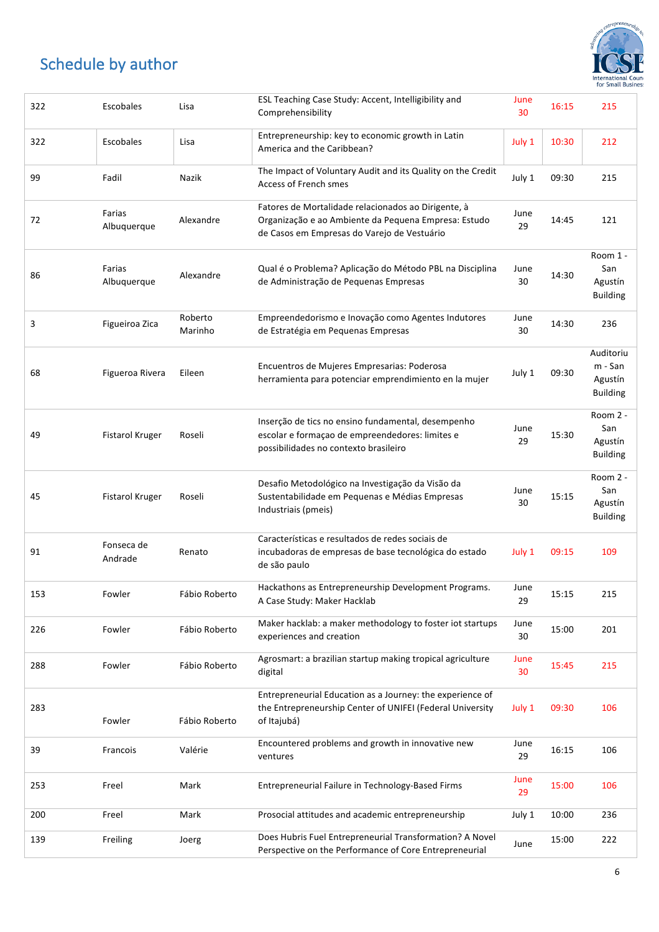

| 322 | Escobales              | Lisa               | ESL Teaching Case Study: Accent, Intelligibility and<br>Comprehensibility                                                                                  | June<br>30 | 16:15 | 215                                                |
|-----|------------------------|--------------------|------------------------------------------------------------------------------------------------------------------------------------------------------------|------------|-------|----------------------------------------------------|
| 322 | Escobales              | Lisa               | Entrepreneurship: key to economic growth in Latin<br>America and the Caribbean?                                                                            | July 1     | 10:30 | 212                                                |
| 99  | Fadil                  | Nazik              | The Impact of Voluntary Audit and its Quality on the Credit<br>Access of French smes                                                                       | July 1     | 09:30 | 215                                                |
| 72  | Farias<br>Albuquerque  | Alexandre          | Fatores de Mortalidade relacionados ao Dirigente, à<br>Organização e ao Ambiente da Pequena Empresa: Estudo<br>de Casos em Empresas do Varejo de Vestuário | June<br>29 | 14:45 | 121                                                |
| 86  | Farias<br>Albuquerque  | Alexandre          | Qual é o Problema? Aplicação do Método PBL na Disciplina<br>de Administração de Pequenas Empresas                                                          | June<br>30 | 14:30 | Room 1 -<br>San<br>Agustín<br><b>Building</b>      |
| 3   | Figueiroa Zica         | Roberto<br>Marinho | Empreendedorismo e Inovação como Agentes Indutores<br>de Estratégia em Pequenas Empresas                                                                   | June<br>30 | 14:30 | 236                                                |
| 68  | Figueroa Rivera        | Eileen             | Encuentros de Mujeres Empresarias: Poderosa<br>herramienta para potenciar emprendimiento en la mujer                                                       | July 1     | 09:30 | Auditoriu<br>m - San<br>Agustín<br><b>Building</b> |
| 49  | <b>Fistarol Kruger</b> | Roseli             | Inserção de tics no ensino fundamental, desempenho<br>escolar e formação de empreendedores: limites e<br>possibilidades no contexto brasileiro             | June<br>29 | 15:30 | Room 2 -<br>San<br>Agustín<br><b>Building</b>      |
| 45  | <b>Fistarol Kruger</b> | Roseli             | Desafio Metodológico na Investigação da Visão da<br>Sustentabilidade em Pequenas e Médias Empresas<br>Industriais (pmeis)                                  | June<br>30 | 15:15 | Room 2 -<br>San<br>Agustín<br><b>Building</b>      |
| 91  | Fonseca de<br>Andrade  | Renato             | Características e resultados de redes sociais de<br>incubadoras de empresas de base tecnológica do estado<br>de são paulo                                  | July 1     | 09:15 | 109                                                |
| 153 | Fowler                 | Fábio Roberto      | Hackathons as Entrepreneurship Development Programs.<br>A Case Study: Maker Hacklab                                                                        | June<br>29 | 15:15 | 215                                                |
| 226 | Fowler                 | Fábio Roberto      | Maker hacklab: a maker methodology to foster iot startups<br>experiences and creation                                                                      | June<br>30 | 15:00 | 201                                                |
| 288 | Fowler                 | Fábio Roberto      | Agrosmart: a brazilian startup making tropical agriculture<br>digital                                                                                      | June<br>30 | 15:45 | 215                                                |
| 283 | Fowler                 | Fábio Roberto      | Entrepreneurial Education as a Journey: the experience of<br>the Entrepreneurship Center of UNIFEI (Federal University<br>of Itajubá)                      | July 1     | 09:30 | 106                                                |
| 39  | Francois               | Valérie            | Encountered problems and growth in innovative new<br>ventures                                                                                              | June<br>29 | 16:15 | 106                                                |
| 253 | Freel                  | Mark               | Entrepreneurial Failure in Technology-Based Firms                                                                                                          | June<br>29 | 15:00 | 106                                                |
| 200 | Freel                  | Mark               | Prosocial attitudes and academic entrepreneurship                                                                                                          | July 1     | 10:00 | 236                                                |
| 139 | Freiling               | Joerg              | Does Hubris Fuel Entrepreneurial Transformation? A Novel<br>Perspective on the Performance of Core Entrepreneurial                                         | June       | 15:00 | 222                                                |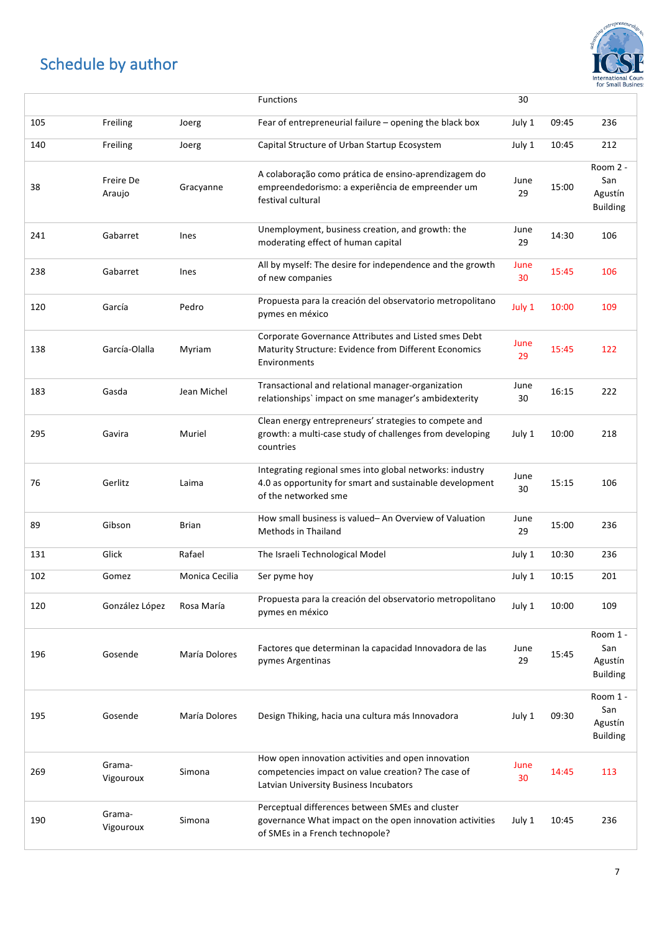

|     |                     |                | Functions                                                                                                                                          | 30         |       |                                               |
|-----|---------------------|----------------|----------------------------------------------------------------------------------------------------------------------------------------------------|------------|-------|-----------------------------------------------|
| 105 | Freiling            | Joerg          | Fear of entrepreneurial failure - opening the black box                                                                                            | July 1     | 09:45 | 236                                           |
| 140 | Freiling            | Joerg          | Capital Structure of Urban Startup Ecosystem                                                                                                       | July 1     | 10:45 | 212                                           |
| 38  | Freire De<br>Araujo | Gracyanne      | A colaboração como prática de ensino-aprendizagem do<br>empreendedorismo: a experiência de empreender um<br>festival cultural                      | June<br>29 | 15:00 | Room 2 -<br>San<br>Agustín<br><b>Building</b> |
| 241 | Gabarret            | Ines           | Unemployment, business creation, and growth: the<br>moderating effect of human capital                                                             | June<br>29 | 14:30 | 106                                           |
| 238 | Gabarret            | Ines           | All by myself: The desire for independence and the growth<br>of new companies                                                                      | June<br>30 | 15:45 | 106                                           |
| 120 | García              | Pedro          | Propuesta para la creación del observatorio metropolitano<br>pymes en méxico                                                                       | July 1     | 10:00 | 109                                           |
| 138 | García-Olalla       | Myriam         | Corporate Governance Attributes and Listed smes Debt<br>Maturity Structure: Evidence from Different Economics<br>Environments                      | June<br>29 | 15:45 | 122                                           |
| 183 | Gasda               | Jean Michel    | Transactional and relational manager-organization<br>relationships' impact on sme manager's ambidexterity                                          | June<br>30 | 16:15 | 222                                           |
| 295 | Gavira              | Muriel         | Clean energy entrepreneurs' strategies to compete and<br>growth: a multi-case study of challenges from developing<br>countries                     | July 1     | 10:00 | 218                                           |
| 76  | Gerlitz             | Laima          | Integrating regional smes into global networks: industry<br>4.0 as opportunity for smart and sustainable development<br>of the networked sme       | June<br>30 | 15:15 | 106                                           |
| 89  | Gibson              | Brian          | How small business is valued-An Overview of Valuation<br>Methods in Thailand                                                                       | June<br>29 | 15:00 | 236                                           |
| 131 | Glick               | Rafael         | The Israeli Technological Model                                                                                                                    | July 1     | 10:30 | 236                                           |
| 102 | Gomez               | Monica Cecilia | Ser pyme hoy                                                                                                                                       | July 1     | 10:15 | 201                                           |
| 120 | González López      | Rosa María     | Propuesta para la creación del observatorio metropolitano<br>pymes en méxico                                                                       | July 1     | 10:00 | 109                                           |
| 196 | Gosende             | María Dolores  | Factores que determinan la capacidad Innovadora de las<br>pymes Argentinas                                                                         | June<br>29 | 15:45 | Room 1 -<br>San<br>Agustín<br><b>Building</b> |
| 195 | Gosende             | María Dolores  | Design Thiking, hacia una cultura más Innovadora                                                                                                   | July 1     | 09:30 | Room 1 -<br>San<br>Agustín<br><b>Building</b> |
| 269 | Grama-<br>Vigouroux | Simona         | How open innovation activities and open innovation<br>competencies impact on value creation? The case of<br>Latvian University Business Incubators | June<br>30 | 14:45 | 113                                           |
| 190 | Grama-<br>Vigouroux | Simona         | Perceptual differences between SMEs and cluster<br>governance What impact on the open innovation activities<br>of SMEs in a French technopole?     | July 1     | 10:45 | 236                                           |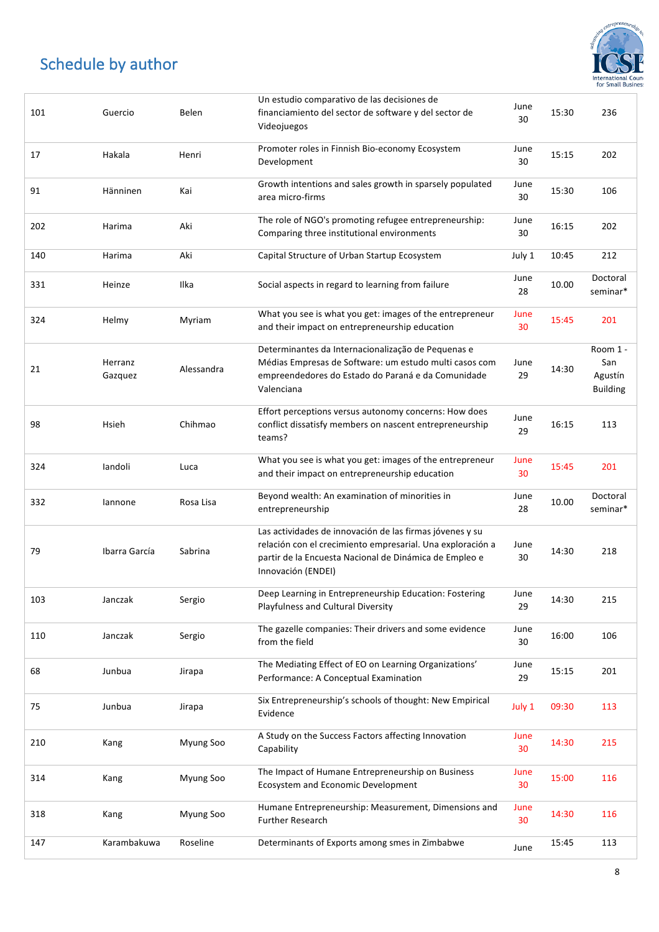

| 101 | Guercio            | Belen      | Un estudio comparativo de las decisiones de<br>financiamiento del sector de software y del sector de<br>Videojuegos                                                                                    | June<br>30 | 15:30 | 236                                           |
|-----|--------------------|------------|--------------------------------------------------------------------------------------------------------------------------------------------------------------------------------------------------------|------------|-------|-----------------------------------------------|
| 17  | Hakala             | Henri      | Promoter roles in Finnish Bio-economy Ecosystem<br>Development                                                                                                                                         | June<br>30 | 15:15 | 202                                           |
| 91  | Hänninen           | Kai        | Growth intentions and sales growth in sparsely populated<br>area micro-firms                                                                                                                           | June<br>30 | 15:30 | 106                                           |
| 202 | Harima             | Aki        | The role of NGO's promoting refugee entrepreneurship:<br>Comparing three institutional environments                                                                                                    | June<br>30 | 16:15 | 202                                           |
| 140 | Harima             | Aki        | Capital Structure of Urban Startup Ecosystem                                                                                                                                                           | July 1     | 10:45 | 212                                           |
| 331 | Heinze             | Ilka       | Social aspects in regard to learning from failure                                                                                                                                                      | June<br>28 | 10.00 | Doctoral<br>seminar*                          |
| 324 | Helmy              | Myriam     | What you see is what you get: images of the entrepreneur<br>and their impact on entrepreneurship education                                                                                             | June<br>30 | 15:45 | 201                                           |
| 21  | Herranz<br>Gazquez | Alessandra | Determinantes da Internacionalização de Pequenas e<br>Médias Empresas de Software: um estudo multi casos com<br>empreendedores do Estado do Paraná e da Comunidade<br>Valenciana                       | June<br>29 | 14:30 | Room 1 -<br>San<br>Agustín<br><b>Building</b> |
| 98  | Hsieh              | Chihmao    | Effort perceptions versus autonomy concerns: How does<br>conflict dissatisfy members on nascent entrepreneurship<br>teams?                                                                             | June<br>29 | 16:15 | 113                                           |
| 324 | landoli            | Luca       | What you see is what you get: images of the entrepreneur<br>and their impact on entrepreneurship education                                                                                             | June<br>30 | 15:45 | 201                                           |
| 332 | lannone            | Rosa Lisa  | Beyond wealth: An examination of minorities in<br>entrepreneurship                                                                                                                                     | June<br>28 | 10.00 | Doctoral<br>seminar*                          |
| 79  | Ibarra García      | Sabrina    | Las actividades de innovación de las firmas jóvenes y su<br>relación con el crecimiento empresarial. Una exploración a<br>partir de la Encuesta Nacional de Dinámica de Empleo e<br>Innovación (ENDEI) | June<br>30 | 14:30 | 218                                           |
| 103 | Janczak            | Sergio     | Deep Learning in Entrepreneurship Education: Fostering<br>Playfulness and Cultural Diversity                                                                                                           | June<br>29 | 14:30 | 215                                           |
| 110 | Janczak            | Sergio     | The gazelle companies: Their drivers and some evidence<br>from the field                                                                                                                               | June<br>30 | 16:00 | 106                                           |
| 68  | Junbua             | Jirapa     | The Mediating Effect of EO on Learning Organizations'<br>Performance: A Conceptual Examination                                                                                                         | June<br>29 | 15:15 | 201                                           |
| 75  | Junbua             | Jirapa     | Six Entrepreneurship's schools of thought: New Empirical<br>Evidence                                                                                                                                   | July 1     | 09:30 | 113                                           |
| 210 | Kang               | Myung Soo  | A Study on the Success Factors affecting Innovation<br>Capability                                                                                                                                      | June<br>30 | 14:30 | 215                                           |
| 314 | Kang               | Myung Soo  | The Impact of Humane Entrepreneurship on Business<br>Ecosystem and Economic Development                                                                                                                | June<br>30 | 15:00 | 116                                           |
| 318 | Kang               | Myung Soo  | Humane Entrepreneurship: Measurement, Dimensions and<br><b>Further Research</b>                                                                                                                        | June<br>30 | 14:30 | 116                                           |
| 147 | Karambakuwa        | Roseline   | Determinants of Exports among smes in Zimbabwe                                                                                                                                                         | June       | 15:45 | 113                                           |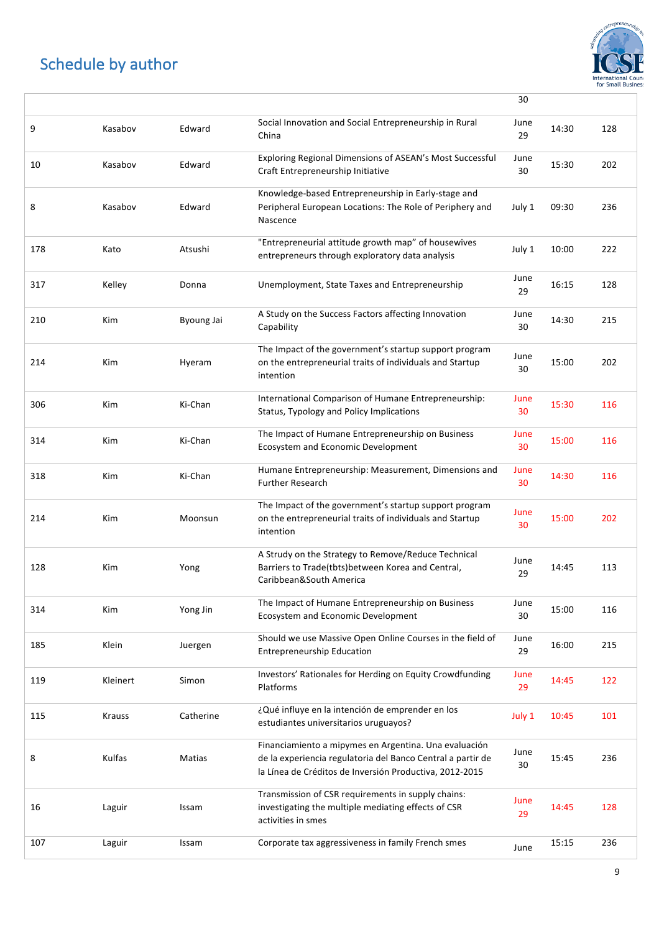

|     |               |            |                                                                                                                                                                                 | 30         |       |     |
|-----|---------------|------------|---------------------------------------------------------------------------------------------------------------------------------------------------------------------------------|------------|-------|-----|
| 9   | Kasabov       | Edward     | Social Innovation and Social Entrepreneurship in Rural<br>China                                                                                                                 | June<br>29 | 14:30 | 128 |
| 10  | Kasabov       | Edward     | Exploring Regional Dimensions of ASEAN's Most Successful<br>Craft Entrepreneurship Initiative                                                                                   | June<br>30 | 15:30 | 202 |
| 8   | Kasabov       | Edward     | Knowledge-based Entrepreneurship in Early-stage and<br>Peripheral European Locations: The Role of Periphery and<br>Nascence                                                     | July 1     | 09:30 | 236 |
| 178 | Kato          | Atsushi    | "Entrepreneurial attitude growth map" of housewives<br>entrepreneurs through exploratory data analysis                                                                          | July 1     | 10:00 | 222 |
| 317 | Kelley        | Donna      | Unemployment, State Taxes and Entrepreneurship                                                                                                                                  | June<br>29 | 16:15 | 128 |
| 210 | <b>Kim</b>    | Byoung Jai | A Study on the Success Factors affecting Innovation<br>Capability                                                                                                               | June<br>30 | 14:30 | 215 |
| 214 | Kim           | Hyeram     | The Impact of the government's startup support program<br>on the entrepreneurial traits of individuals and Startup<br>intention                                                 | June<br>30 | 15:00 | 202 |
| 306 | Kim           | Ki-Chan    | International Comparison of Humane Entrepreneurship:<br>Status, Typology and Policy Implications                                                                                | June<br>30 | 15:30 | 116 |
| 314 | <b>Kim</b>    | Ki-Chan    | The Impact of Humane Entrepreneurship on Business<br>Ecosystem and Economic Development                                                                                         | June<br>30 | 15:00 | 116 |
| 318 | Kim           | Ki-Chan    | Humane Entrepreneurship: Measurement, Dimensions and<br><b>Further Research</b>                                                                                                 | June<br>30 | 14:30 | 116 |
| 214 | <b>Kim</b>    | Moonsun    | The Impact of the government's startup support program<br>on the entrepreneurial traits of individuals and Startup<br>intention                                                 | June<br>30 | 15:00 | 202 |
| 128 | Kim           | Yong       | A Strudy on the Strategy to Remove/Reduce Technical<br>Barriers to Trade(tbts) between Korea and Central,<br>Caribbean&South America                                            | June<br>29 | 14:45 | 113 |
| 314 | Kim           | Yong Jin   | The Impact of Humane Entrepreneurship on Business<br>Ecosystem and Economic Development                                                                                         | June<br>30 | 15:00 | 116 |
| 185 | Klein         | Juergen    | Should we use Massive Open Online Courses in the field of<br><b>Entrepreneurship Education</b>                                                                                  | June<br>29 | 16:00 | 215 |
| 119 | Kleinert      | Simon      | Investors' Rationales for Herding on Equity Crowdfunding<br>Platforms                                                                                                           | June<br>29 | 14:45 | 122 |
| 115 | <b>Krauss</b> | Catherine  | ¿Qué influye en la intención de emprender en los<br>estudiantes universitarios uruguayos?                                                                                       | July 1     | 10:45 | 101 |
| 8   | Kulfas        | Matias     | Financiamiento a mipymes en Argentina. Una evaluación<br>de la experiencia regulatoria del Banco Central a partir de<br>la Línea de Créditos de Inversión Productiva, 2012-2015 | June<br>30 | 15:45 | 236 |
| 16  | Laguir        | Issam      | Transmission of CSR requirements in supply chains:<br>investigating the multiple mediating effects of CSR<br>activities in smes                                                 | June<br>29 | 14:45 | 128 |
| 107 | Laguir        | Issam      | Corporate tax aggressiveness in family French smes                                                                                                                              | June       | 15:15 | 236 |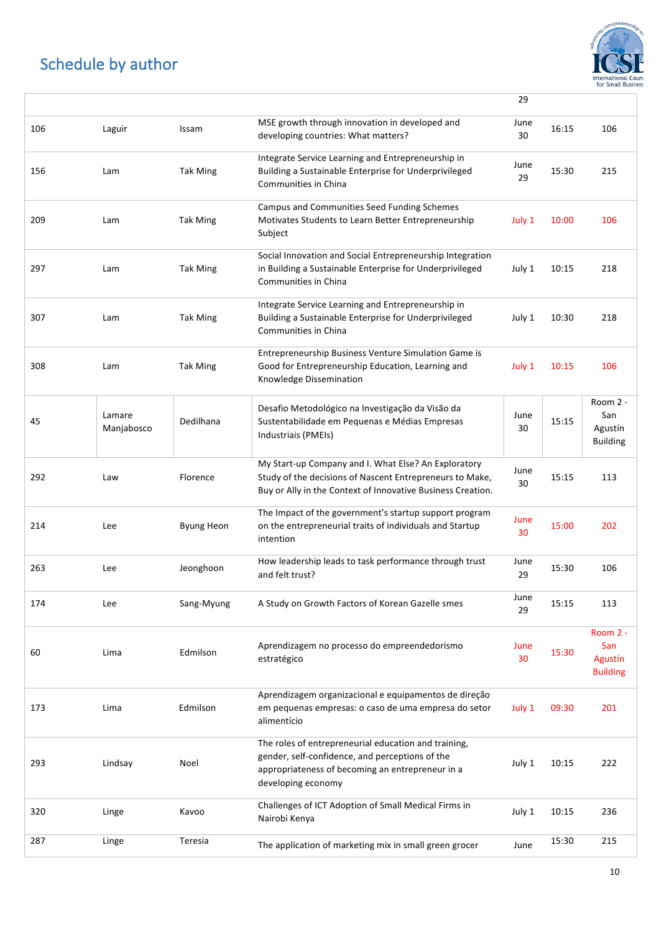

|     |                      |                   |                                                                                                                                                                                   | 29         |       |                                               |
|-----|----------------------|-------------------|-----------------------------------------------------------------------------------------------------------------------------------------------------------------------------------|------------|-------|-----------------------------------------------|
| 106 | Laguir               | Issam             | MSE growth through innovation in developed and<br>developing countries: What matters?                                                                                             | June<br>30 | 16:15 | 106                                           |
| 156 | Lam                  | <b>Tak Ming</b>   | Integrate Service Learning and Entrepreneurship in<br>Building a Sustainable Enterprise for Underprivileged<br>Communities in China                                               | June<br>29 | 15:30 | 215                                           |
| 209 | Lam                  | <b>Tak Ming</b>   | Campus and Communities Seed Funding Schemes<br>Motivates Students to Learn Better Entrepreneurship<br>Subject                                                                     | July 1     | 10:00 | 106                                           |
| 297 | Lam                  | <b>Tak Ming</b>   | Social Innovation and Social Entrepreneurship Integration<br>in Building a Sustainable Enterprise for Underprivileged<br>Communities in China                                     | July 1     | 10:15 | 218                                           |
| 307 | Lam                  | <b>Tak Ming</b>   | Integrate Service Learning and Entrepreneurship in<br>Building a Sustainable Enterprise for Underprivileged<br>Communities in China                                               | July 1     | 10:30 | 218                                           |
| 308 | Lam                  | <b>Tak Ming</b>   | Entrepreneurship Business Venture Simulation Game is<br>Good for Entrepreneurship Education, Learning and<br>Knowledge Dissemination                                              | July 1     | 10:15 | 106                                           |
| 45  | Lamare<br>Manjabosco | Dedilhana         | Desafio Metodológico na Investigação da Visão da<br>Sustentabilidade em Pequenas e Médias Empresas<br>Industriais (PMEIs)                                                         | June<br>30 | 15:15 | Room 2 -<br>San<br>Agustín<br><b>Building</b> |
| 292 | Law                  | Florence          | My Start-up Company and I. What Else? An Exploratory<br>Study of the decisions of Nascent Entrepreneurs to Make,<br>Buy or Ally in the Context of Innovative Business Creation.   | June<br>30 | 15:15 | 113                                           |
| 214 | Lee                  | <b>Byung Heon</b> | The Impact of the government's startup support program<br>on the entrepreneurial traits of individuals and Startup<br>intention                                                   | June<br>30 | 15:00 | 202                                           |
| 263 | Lee                  | Jeonghoon         | How leadership leads to task performance through trust<br>and felt trust?                                                                                                         | June<br>29 | 15:30 | 106                                           |
| 174 | Lee                  | Sang-Myung        | A Study on Growth Factors of Korean Gazelle smes                                                                                                                                  | June<br>29 | 15:15 | 113                                           |
| 60  | Lima                 | Edmilson          | Aprendizagem no processo do empreendedorismo<br>estratégico                                                                                                                       | June<br>30 | 15:30 | Room 2 -<br>San<br>Agustín<br><b>Building</b> |
| 173 | Lima                 | Edmilson          | Aprendizagem organizacional e equipamentos de direção<br>em pequenas empresas: o caso de uma empresa do setor<br>alimentício                                                      | July 1     | 09:30 | 201                                           |
| 293 | Lindsay              | Noel              | The roles of entrepreneurial education and training,<br>gender, self-confidence, and perceptions of the<br>appropriateness of becoming an entrepreneur in a<br>developing economy | July 1     | 10:15 | 222                                           |
| 320 | Linge                | Kavoo             | Challenges of ICT Adoption of Small Medical Firms in<br>Nairobi Kenya                                                                                                             | July 1     | 10:15 | 236                                           |
| 287 | Linge                | Teresia           | The application of marketing mix in small green grocer                                                                                                                            | June       | 15:30 | 215                                           |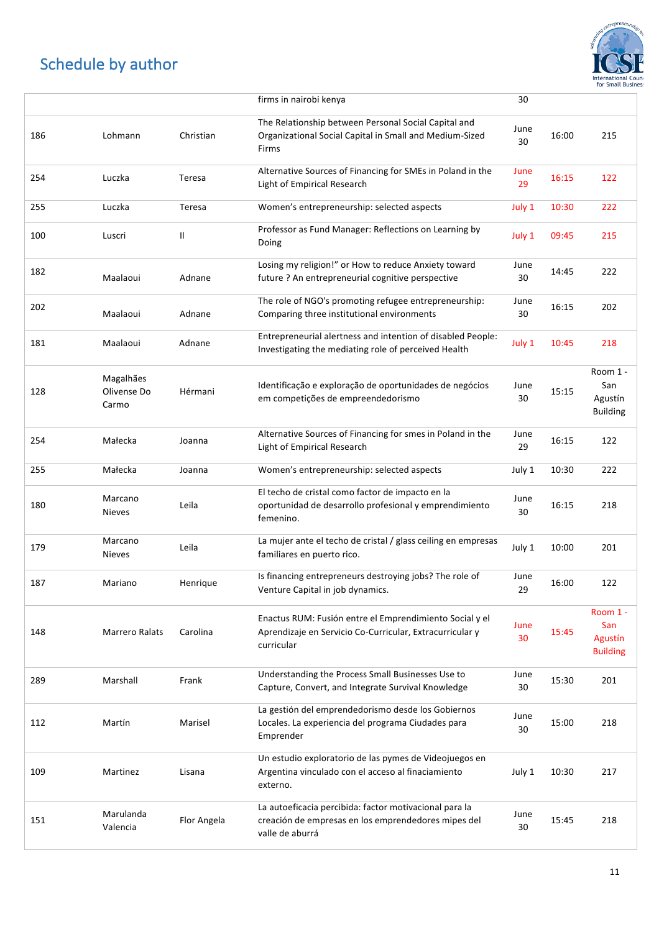

|     |                                   |             | firms in nairobi kenya                                                                                                            | 30         |       |                                               |
|-----|-----------------------------------|-------------|-----------------------------------------------------------------------------------------------------------------------------------|------------|-------|-----------------------------------------------|
| 186 | Lohmann                           | Christian   | The Relationship between Personal Social Capital and<br>Organizational Social Capital in Small and Medium-Sized<br>Firms          | June<br>30 | 16:00 | 215                                           |
| 254 | Luczka                            | Teresa      | Alternative Sources of Financing for SMEs in Poland in the<br>Light of Empirical Research                                         | June<br>29 | 16:15 | 122                                           |
| 255 | Luczka                            | Teresa      | Women's entrepreneurship: selected aspects                                                                                        | July 1     | 10:30 | 222                                           |
| 100 | Luscri                            | Ш           | Professor as Fund Manager: Reflections on Learning by<br>Doing                                                                    | July 1     | 09:45 | 215                                           |
| 182 | Maalaoui                          | Adnane      | Losing my religion!" or How to reduce Anxiety toward<br>future ? An entrepreneurial cognitive perspective                         | June<br>30 | 14:45 | 222                                           |
| 202 | Maalaoui                          | Adnane      | The role of NGO's promoting refugee entrepreneurship:<br>Comparing three institutional environments                               | June<br>30 | 16:15 | 202                                           |
| 181 | Maalaoui                          | Adnane      | Entrepreneurial alertness and intention of disabled People:<br>Investigating the mediating role of perceived Health               | July 1     | 10:45 | 218                                           |
| 128 | Magalhães<br>Olivense Do<br>Carmo | Hérmani     | Identificação e exploração de oportunidades de negócios<br>em competições de empreendedorismo                                     | June<br>30 | 15:15 | Room 1 -<br>San<br>Agustín<br><b>Building</b> |
| 254 | Małecka                           | Joanna      | Alternative Sources of Financing for smes in Poland in the<br>Light of Empirical Research                                         | June<br>29 | 16:15 | 122                                           |
| 255 | Małecka                           | Joanna      | Women's entrepreneurship: selected aspects                                                                                        | July 1     | 10:30 | 222                                           |
| 180 | Marcano<br><b>Nieves</b>          | Leila       | El techo de cristal como factor de impacto en la<br>oportunidad de desarrollo profesional y emprendimiento<br>femenino.           | June<br>30 | 16:15 | 218                                           |
| 179 | Marcano<br><b>Nieves</b>          | Leila       | La mujer ante el techo de cristal / glass ceiling en empresas<br>familiares en puerto rico.                                       | July 1     | 10:00 | 201                                           |
| 187 | Mariano                           | Henrique    | Is financing entrepreneurs destroying jobs? The role of<br>Venture Capital in job dynamics.                                       | June<br>29 | 16:00 | 122                                           |
| 148 | Marrero Ralats                    | Carolina    | Enactus RUM: Fusión entre el Emprendimiento Social y el<br>Aprendizaje en Servicio Co-Curricular, Extracurricular y<br>curricular | June<br>30 | 15:45 | Room 1 -<br>San<br>Agustín<br><b>Building</b> |
| 289 | Marshall                          | Frank       | Understanding the Process Small Businesses Use to<br>Capture, Convert, and Integrate Survival Knowledge                           | June<br>30 | 15:30 | 201                                           |
| 112 | Martín                            | Marisel     | La gestión del emprendedorismo desde los Gobiernos<br>Locales. La experiencia del programa Ciudades para<br>Emprender             | June<br>30 | 15:00 | 218                                           |
| 109 | Martinez                          | Lisana      | Un estudio exploratorio de las pymes de Videojuegos en<br>Argentina vinculado con el acceso al finaciamiento<br>externo.          | July 1     | 10:30 | 217                                           |
| 151 | Marulanda<br>Valencia             | Flor Angela | La autoeficacia percibida: factor motivacional para la<br>creación de empresas en los emprendedores mipes del<br>valle de aburrá  | June<br>30 | 15:45 | 218                                           |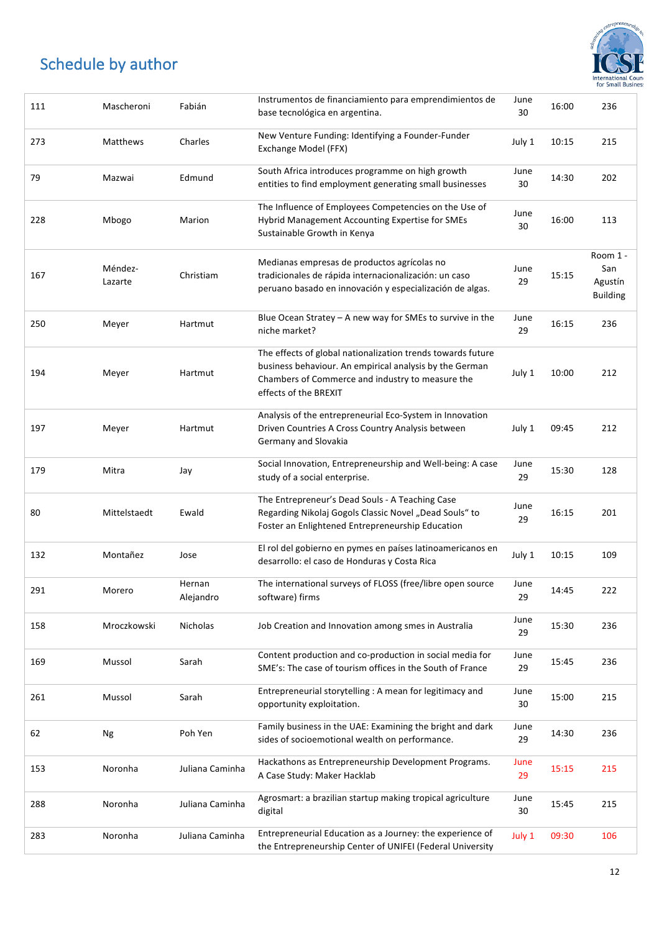

| 111 | Mascheroni         | Fabián              | Instrumentos de financiamiento para emprendimientos de<br>base tecnológica en argentina.                                                                                                            | June<br>30 | 16:00 | 236                                           |
|-----|--------------------|---------------------|-----------------------------------------------------------------------------------------------------------------------------------------------------------------------------------------------------|------------|-------|-----------------------------------------------|
| 273 | Matthews           | Charles             | New Venture Funding: Identifying a Founder-Funder<br>Exchange Model (FFX)                                                                                                                           | July 1     | 10:15 | 215                                           |
| 79  | Mazwai             | Edmund              | South Africa introduces programme on high growth<br>entities to find employment generating small businesses                                                                                         | June<br>30 | 14:30 | 202                                           |
| 228 | Mbogo              | Marion              | The Influence of Employees Competencies on the Use of<br>Hybrid Management Accounting Expertise for SMEs<br>Sustainable Growth in Kenya                                                             | June<br>30 | 16:00 | 113                                           |
| 167 | Méndez-<br>Lazarte | Christiam           | Medianas empresas de productos agrícolas no<br>tradicionales de rápida internacionalización: un caso<br>peruano basado en innovación y especialización de algas.                                    | June<br>29 | 15:15 | Room 1 -<br>San<br>Agustín<br><b>Building</b> |
| 250 | Meyer              | Hartmut             | Blue Ocean Stratey $-$ A new way for SMEs to survive in the<br>niche market?                                                                                                                        | June<br>29 | 16:15 | 236                                           |
| 194 | Meyer              | Hartmut             | The effects of global nationalization trends towards future<br>business behaviour. An empirical analysis by the German<br>Chambers of Commerce and industry to measure the<br>effects of the BREXIT | July 1     | 10:00 | 212                                           |
| 197 | Meyer              | Hartmut             | Analysis of the entrepreneurial Eco-System in Innovation<br>Driven Countries A Cross Country Analysis between<br>Germany and Slovakia                                                               | July 1     | 09:45 | 212                                           |
| 179 | Mitra              | Jay                 | Social Innovation, Entrepreneurship and Well-being: A case<br>study of a social enterprise.                                                                                                         | June<br>29 | 15:30 | 128                                           |
| 80  | Mittelstaedt       | Ewald               | The Entrepreneur's Dead Souls - A Teaching Case<br>Regarding Nikolaj Gogols Classic Novel "Dead Souls" to<br>Foster an Enlightened Entrepreneurship Education                                       | June<br>29 | 16:15 | 201                                           |
| 132 | Montañez           | Jose                | El rol del gobierno en pymes en países latinoamericanos en<br>desarrollo: el caso de Honduras y Costa Rica                                                                                          | July 1     | 10:15 | 109                                           |
| 291 | Morero             | Hernan<br>Alejandro | The international surveys of FLOSS (free/libre open source<br>software) firms                                                                                                                       | June<br>29 | 14:45 | 222                                           |
| 158 | Mroczkowski        | Nicholas            | Job Creation and Innovation among smes in Australia                                                                                                                                                 | June<br>29 | 15:30 | 236                                           |
| 169 | Mussol             | Sarah               | Content production and co-production in social media for<br>SME's: The case of tourism offices in the South of France                                                                               | June<br>29 | 15:45 | 236                                           |
| 261 | Mussol             | Sarah               | Entrepreneurial storytelling : A mean for legitimacy and<br>opportunity exploitation.                                                                                                               | June<br>30 | 15:00 | 215                                           |
| 62  | Ng                 | Poh Yen             | Family business in the UAE: Examining the bright and dark<br>sides of socioemotional wealth on performance.                                                                                         | June<br>29 | 14:30 | 236                                           |
| 153 | Noronha            | Juliana Caminha     | Hackathons as Entrepreneurship Development Programs.<br>A Case Study: Maker Hacklab                                                                                                                 | June<br>29 | 15:15 | 215                                           |
| 288 | Noronha            | Juliana Caminha     | Agrosmart: a brazilian startup making tropical agriculture<br>digital                                                                                                                               | June<br>30 | 15:45 | 215                                           |
| 283 | Noronha            | Juliana Caminha     | Entrepreneurial Education as a Journey: the experience of<br>the Entrepreneurship Center of UNIFEI (Federal University                                                                              | July 1     | 09:30 | 106                                           |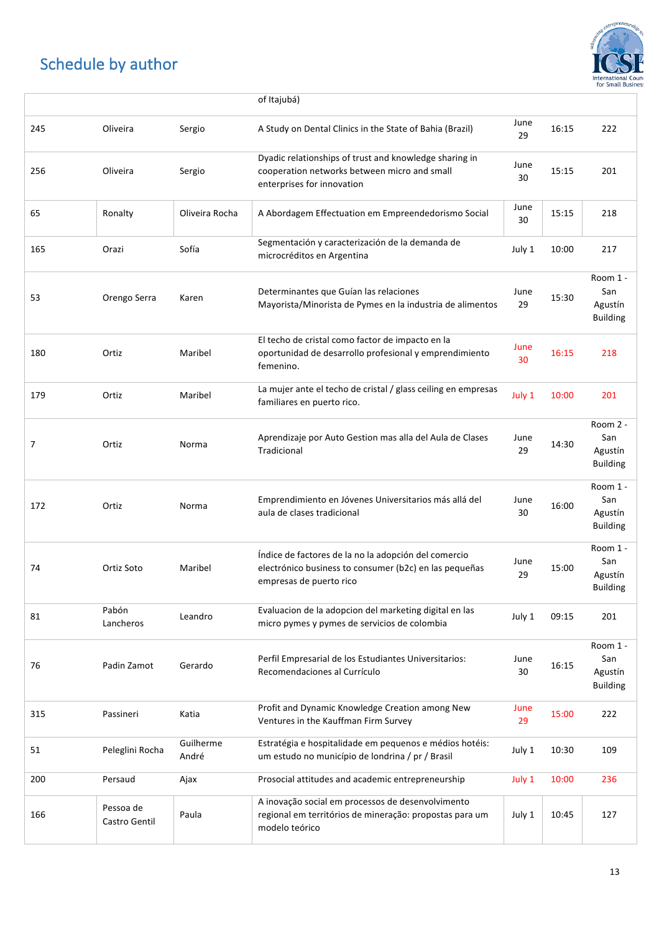

|     |                            |                    | of Itajubá)                                                                                                                               |            |       |                                               |
|-----|----------------------------|--------------------|-------------------------------------------------------------------------------------------------------------------------------------------|------------|-------|-----------------------------------------------|
| 245 | Oliveira                   | Sergio             | A Study on Dental Clinics in the State of Bahia (Brazil)                                                                                  | June<br>29 | 16:15 | 222                                           |
| 256 | Oliveira                   | Sergio             | Dyadic relationships of trust and knowledge sharing in<br>cooperation networks between micro and small<br>enterprises for innovation      | June<br>30 | 15:15 | 201                                           |
| 65  | Ronalty                    | Oliveira Rocha     | A Abordagem Effectuation em Empreendedorismo Social                                                                                       | June<br>30 | 15:15 | 218                                           |
| 165 | Orazi                      | Sofía              | Segmentación y caracterización de la demanda de<br>microcréditos en Argentina                                                             | July 1     | 10:00 | 217                                           |
| 53  | Orengo Serra               | Karen              | Determinantes que Guían las relaciones<br>Mayorista/Minorista de Pymes en la industria de alimentos                                       | June<br>29 | 15:30 | Room 1 -<br>San<br>Agustín<br><b>Building</b> |
| 180 | Ortiz                      | Maribel            | El techo de cristal como factor de impacto en la<br>oportunidad de desarrollo profesional y emprendimiento<br>femenino.                   | June<br>30 | 16:15 | 218                                           |
| 179 | Ortiz                      | Maribel            | La mujer ante el techo de cristal / glass ceiling en empresas<br>familiares en puerto rico.                                               | July 1     | 10:00 | 201                                           |
| 7   | Ortiz                      | Norma              | Aprendizaje por Auto Gestion mas alla del Aula de Clases<br>Tradicional                                                                   | June<br>29 | 14:30 | Room 2 -<br>San<br>Agustín<br><b>Building</b> |
| 172 | Ortiz                      | Norma              | Emprendimiento en Jóvenes Universitarios más allá del<br>aula de clases tradicional                                                       | June<br>30 | 16:00 | Room 1 -<br>San<br>Agustín<br><b>Building</b> |
| 74  | Ortiz Soto                 | Maribel            | Índice de factores de la no la adopción del comercio<br>electrónico business to consumer (b2c) en las pequeñas<br>empresas de puerto rico | June<br>29 | 15:00 | Room 1 -<br>San<br>Agustín<br><b>Building</b> |
| 81  | Pabón<br>Lancheros         | Leandro            | Evaluacion de la adopcion del marketing digital en las<br>micro pymes y pymes de servicios de colombia                                    | July 1     | 09:15 | 201                                           |
| 76  | Padin Zamot                | Gerardo            | Perfil Empresarial de los Estudiantes Universitarios:<br>Recomendaciones al Currículo                                                     | June<br>30 | 16:15 | Room 1 -<br>San<br>Agustín<br><b>Building</b> |
| 315 | Passineri                  | Katia              | Profit and Dynamic Knowledge Creation among New<br>Ventures in the Kauffman Firm Survey                                                   | June<br>29 | 15:00 | 222                                           |
| 51  | Peleglini Rocha            | Guilherme<br>André | Estratégia e hospitalidade em pequenos e médios hotéis:<br>um estudo no município de londrina / pr / Brasil                               | July 1     | 10:30 | 109                                           |
| 200 | Persaud                    | Ajax               | Prosocial attitudes and academic entrepreneurship                                                                                         | July 1     | 10:00 | 236                                           |
| 166 | Pessoa de<br>Castro Gentil | Paula              | A inovação social em processos de desenvolvimento<br>regional em territórios de mineração: propostas para um<br>modelo teórico            | July 1     | 10:45 | 127                                           |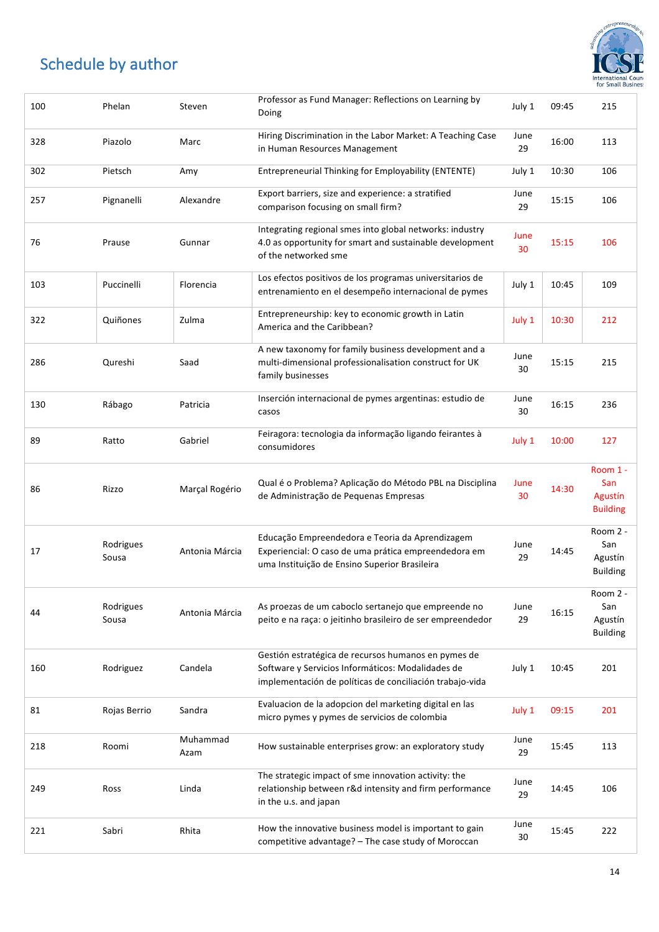

| 100 | Phelan             | Steven           | Professor as Fund Manager: Reflections on Learning by<br>Doing                                                                                                       | July 1     | 09:45 | 215                                           |
|-----|--------------------|------------------|----------------------------------------------------------------------------------------------------------------------------------------------------------------------|------------|-------|-----------------------------------------------|
| 328 | Piazolo            | Marc             | Hiring Discrimination in the Labor Market: A Teaching Case<br>in Human Resources Management                                                                          | June<br>29 | 16:00 | 113                                           |
| 302 | Pietsch            | Amy              | Entrepreneurial Thinking for Employability (ENTENTE)                                                                                                                 | July 1     | 10:30 | 106                                           |
| 257 | Pignanelli         | Alexandre        | Export barriers, size and experience: a stratified<br>comparison focusing on small firm?                                                                             | June<br>29 | 15:15 | 106                                           |
| 76  | Prause             | Gunnar           | Integrating regional smes into global networks: industry<br>4.0 as opportunity for smart and sustainable development<br>of the networked sme                         | June<br>30 | 15:15 | 106                                           |
| 103 | Puccinelli         | Florencia        | Los efectos positivos de los programas universitarios de<br>entrenamiento en el desempeño internacional de pymes                                                     | July 1     | 10:45 | 109                                           |
| 322 | Quiñones           | Zulma            | Entrepreneurship: key to economic growth in Latin<br>America and the Caribbean?                                                                                      | July 1     | 10:30 | 212                                           |
| 286 | Qureshi            | Saad             | A new taxonomy for family business development and a<br>multi-dimensional professionalisation construct for UK<br>family businesses                                  | June<br>30 | 15:15 | 215                                           |
| 130 | Rábago             | Patricia         | Inserción internacional de pymes argentinas: estudio de<br>casos                                                                                                     | June<br>30 | 16:15 | 236                                           |
| 89  | Ratto              | Gabriel          | Feiragora: tecnologia da informação ligando feirantes à<br>consumidores                                                                                              | July 1     | 10:00 | 127                                           |
| 86  | Rizzo              | Marçal Rogério   | Qual é o Problema? Aplicação do Método PBL na Disciplina<br>de Administração de Pequenas Empresas                                                                    | June<br>30 | 14:30 | Room 1 -<br>San<br>Agustín<br><b>Building</b> |
| 17  | Rodrigues<br>Sousa | Antonia Márcia   | Educação Empreendedora e Teoria da Aprendizagem<br>Experiencial: O caso de uma prática empreendedora em<br>uma Instituição de Ensino Superior Brasileira             | June<br>29 | 14:45 | Room 2 -<br>San<br>Agustín<br><b>Building</b> |
| 44  | Rodrigues<br>Sousa | Antonia Márcia   | As proezas de um caboclo sertanejo que empreende no<br>peito e na raça: o jeitinho brasileiro de ser empreendedor                                                    | June<br>29 | 16:15 | Room 2 -<br>San<br>Agustín<br><b>Building</b> |
| 160 | Rodriguez          | Candela          | Gestión estratégica de recursos humanos en pymes de<br>Software y Servicios Informáticos: Modalidades de<br>implementación de políticas de conciliación trabajo-vida | July 1     | 10:45 | 201                                           |
| 81  | Rojas Berrio       | Sandra           | Evaluacion de la adopcion del marketing digital en las<br>micro pymes y pymes de servicios de colombia                                                               | July 1     | 09:15 | 201                                           |
| 218 | Roomi              | Muhammad<br>Azam | How sustainable enterprises grow: an exploratory study                                                                                                               | June<br>29 | 15:45 | 113                                           |
| 249 | Ross               | Linda            | The strategic impact of sme innovation activity: the<br>relationship between r&d intensity and firm performance<br>in the u.s. and japan                             | June<br>29 | 14:45 | 106                                           |
| 221 | Sabri              | Rhita            | How the innovative business model is important to gain<br>competitive advantage? - The case study of Moroccan                                                        | June<br>30 | 15:45 | 222                                           |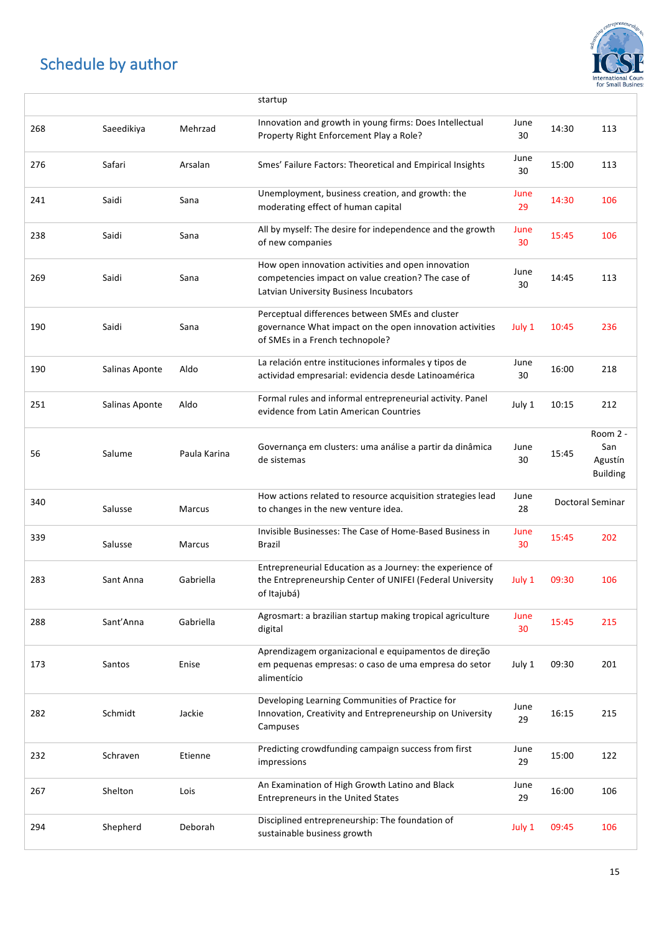

|     |                |              | startup                                                                                                                                            |            |       |                                               |
|-----|----------------|--------------|----------------------------------------------------------------------------------------------------------------------------------------------------|------------|-------|-----------------------------------------------|
| 268 | Saeedikiya     | Mehrzad      | Innovation and growth in young firms: Does Intellectual<br>Property Right Enforcement Play a Role?                                                 | June<br>30 | 14:30 | 113                                           |
| 276 | Safari         | Arsalan      | Smes' Failure Factors: Theoretical and Empirical Insights                                                                                          | June<br>30 | 15:00 | 113                                           |
| 241 | Saidi          | Sana         | Unemployment, business creation, and growth: the<br>moderating effect of human capital                                                             | June<br>29 | 14:30 | 106                                           |
| 238 | Saidi          | Sana         | All by myself: The desire for independence and the growth<br>of new companies                                                                      | June<br>30 | 15:45 | 106                                           |
| 269 | Saidi          | Sana         | How open innovation activities and open innovation<br>competencies impact on value creation? The case of<br>Latvian University Business Incubators | June<br>30 | 14:45 | 113                                           |
| 190 | Saidi          | Sana         | Perceptual differences between SMEs and cluster<br>governance What impact on the open innovation activities<br>of SMEs in a French technopole?     | July 1     | 10:45 | 236                                           |
| 190 | Salinas Aponte | Aldo         | La relación entre instituciones informales y tipos de<br>actividad empresarial: evidencia desde Latinoamérica                                      | June<br>30 | 16:00 | 218                                           |
| 251 | Salinas Aponte | Aldo         | Formal rules and informal entrepreneurial activity. Panel<br>evidence from Latin American Countries                                                | July 1     | 10:15 | 212                                           |
| 56  | Salume         | Paula Karina | Governança em clusters: uma análise a partir da dinâmica<br>de sistemas                                                                            | June<br>30 | 15:45 | Room 2 -<br>San<br>Agustín<br><b>Building</b> |
|     |                |              |                                                                                                                                                    |            |       |                                               |
| 340 | Salusse        | Marcus       | How actions related to resource acquisition strategies lead<br>to changes in the new venture idea.                                                 | June<br>28 |       | Doctoral Seminar                              |
| 339 | Salusse        | Marcus       | Invisible Businesses: The Case of Home-Based Business in<br>Brazil                                                                                 | June<br>30 | 15:45 | 202                                           |
| 283 | Sant Anna      | Gabriella    | Entrepreneurial Education as a Journey: the experience of<br>the Entrepreneurship Center of UNIFEI (Federal University<br>of Itajubá)              | July 1     | 09:30 | 106                                           |
| 288 | Sant'Anna      | Gabriella    | Agrosmart: a brazilian startup making tropical agriculture<br>digital                                                                              | June<br>30 | 15:45 | 215                                           |
| 173 | Santos         | Enise        | Aprendizagem organizacional e equipamentos de direção<br>em pequenas empresas: o caso de uma empresa do setor<br>alimentício                       | July 1     | 09:30 | 201                                           |
| 282 | Schmidt        | Jackie       | Developing Learning Communities of Practice for<br>Innovation, Creativity and Entrepreneurship on University<br>Campuses                           | June<br>29 | 16:15 | 215                                           |
| 232 | Schraven       | Etienne      | Predicting crowdfunding campaign success from first<br>impressions                                                                                 | June<br>29 | 15:00 | 122                                           |
| 267 | Shelton        | Lois         | An Examination of High Growth Latino and Black<br><b>Entrepreneurs in the United States</b>                                                        | June<br>29 | 16:00 | 106                                           |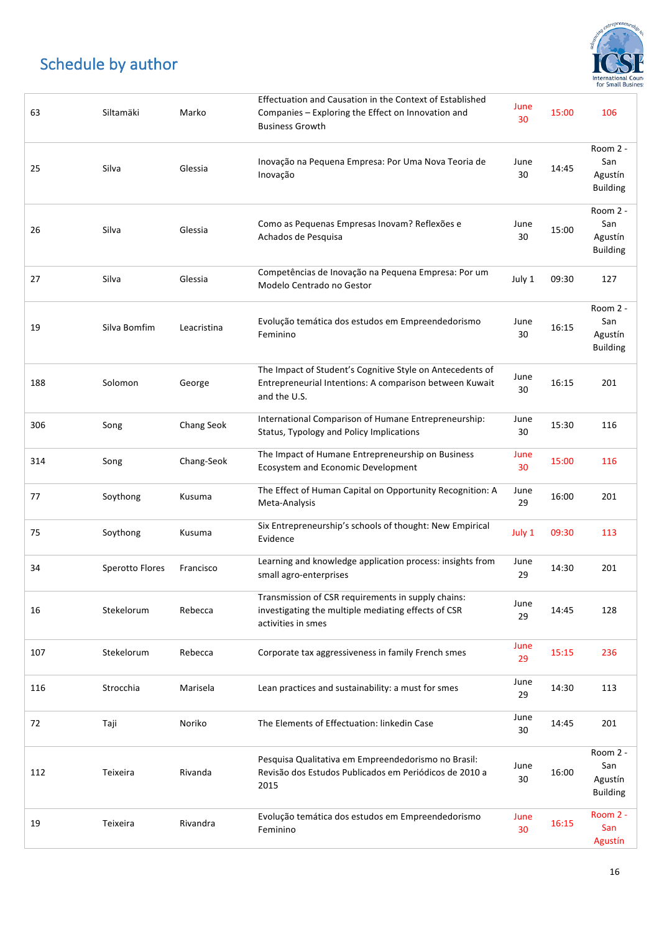

| 63  | Siltamäki       | Marko       | Effectuation and Causation in the Context of Established<br>Companies - Exploring the Effect on Innovation and<br><b>Business Growth</b> | June<br>30 | 15:00 | 106                                           |
|-----|-----------------|-------------|------------------------------------------------------------------------------------------------------------------------------------------|------------|-------|-----------------------------------------------|
| 25  | Silva           | Glessia     | Inovação na Pequena Empresa: Por Uma Nova Teoria de<br>Inovação                                                                          | June<br>30 | 14:45 | Room 2 -<br>San<br>Agustín<br><b>Building</b> |
| 26  | Silva           | Glessia     | Como as Pequenas Empresas Inovam? Reflexões e<br>Achados de Pesquisa                                                                     | June<br>30 | 15:00 | Room 2 -<br>San<br>Agustín<br><b>Building</b> |
| 27  | Silva           | Glessia     | Competências de Inovação na Pequena Empresa: Por um<br>Modelo Centrado no Gestor                                                         | July 1     | 09:30 | 127                                           |
| 19  | Silva Bomfim    | Leacristina | Evolução temática dos estudos em Empreendedorismo<br>Feminino                                                                            | June<br>30 | 16:15 | Room 2 -<br>San<br>Agustín<br><b>Building</b> |
| 188 | Solomon         | George      | The Impact of Student's Cognitive Style on Antecedents of<br>Entrepreneurial Intentions: A comparison between Kuwait<br>and the U.S.     | June<br>30 | 16:15 | 201                                           |
| 306 | Song            | Chang Seok  | International Comparison of Humane Entrepreneurship:<br>Status, Typology and Policy Implications                                         | June<br>30 | 15:30 | 116                                           |
| 314 | Song            | Chang-Seok  | The Impact of Humane Entrepreneurship on Business<br>Ecosystem and Economic Development                                                  | June<br>30 | 15:00 | 116                                           |
| 77  | Soythong        | Kusuma      | The Effect of Human Capital on Opportunity Recognition: A<br>Meta-Analysis                                                               | June<br>29 | 16:00 | 201                                           |
| 75  | Soythong        | Kusuma      | Six Entrepreneurship's schools of thought: New Empirical<br>Evidence                                                                     | July 1     | 09:30 | 113                                           |
| 34  | Sperotto Flores | Francisco   | Learning and knowledge application process: insights from<br>small agro-enterprises                                                      | June<br>29 | 14:30 | 201                                           |
| 16  | Stekelorum      | Rebecca     | Transmission of CSR requirements in supply chains:<br>investigating the multiple mediating effects of CSR<br>activities in smes          | June<br>29 | 14:45 | 128                                           |
| 107 | Stekelorum      | Rebecca     | Corporate tax aggressiveness in family French smes                                                                                       | June<br>29 | 15:15 | 236                                           |
| 116 | Strocchia       | Marisela    | Lean practices and sustainability: a must for smes                                                                                       | June<br>29 | 14:30 | 113                                           |
| 72  | Taji            | Noriko      | The Elements of Effectuation: linkedin Case                                                                                              | June<br>30 | 14:45 | 201                                           |
| 112 | Teixeira        | Rivanda     | Pesquisa Qualitativa em Empreendedorismo no Brasil:<br>Revisão dos Estudos Publicados em Periódicos de 2010 a<br>2015                    | June<br>30 | 16:00 | Room 2 -<br>San<br>Agustín<br><b>Building</b> |
| 19  | Teixeira        | Rivandra    | Evolução temática dos estudos em Empreendedorismo<br>Feminino                                                                            | June<br>30 | 16:15 | Room 2 -<br>San<br>Agustín                    |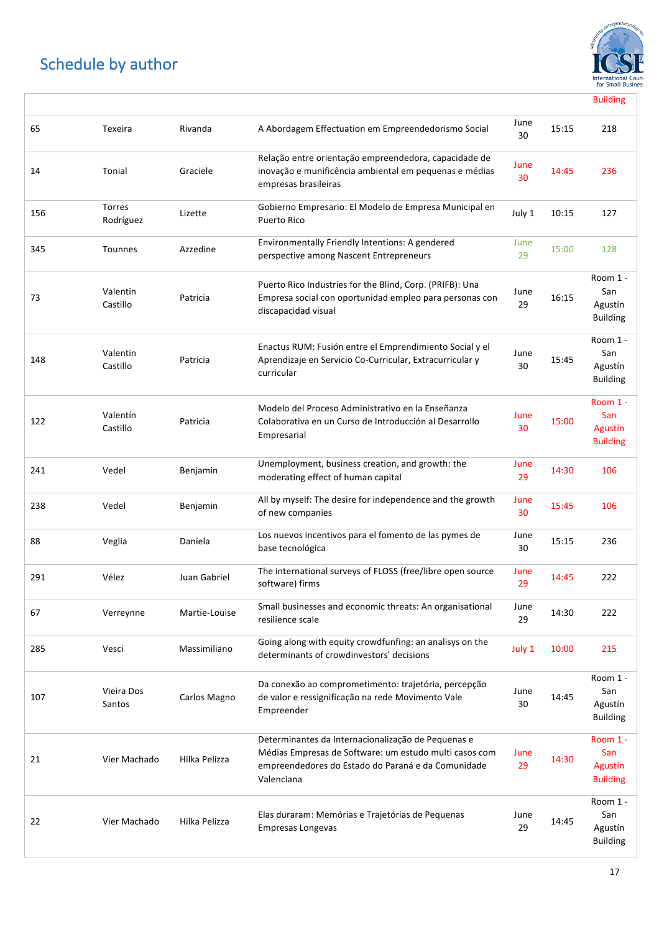$\sqrt{ }$ 



Building

| 65  | Texeira                    | Rivanda       | A Abordagem Effectuation em Empreendedorismo Social                                                                                                                              | June<br>30 | 15:15 | 218                                           |
|-----|----------------------------|---------------|----------------------------------------------------------------------------------------------------------------------------------------------------------------------------------|------------|-------|-----------------------------------------------|
| 14  | Tonial                     | Graciele      | Relação entre orientação empreendedora, capacidade de<br>inovação e munificência ambiental em pequenas e médias<br>empresas brasileiras                                          | June<br>30 | 14:45 | 236                                           |
| 156 | <b>Torres</b><br>Rodríguez | Lizette       | Gobierno Empresario: El Modelo de Empresa Municipal en<br><b>Puerto Rico</b>                                                                                                     | July 1     | 10:15 | 127                                           |
| 345 | <b>Tounnes</b>             | Azzedine      | Environmentally Friendly Intentions: A gendered<br>perspective among Nascent Entrepreneurs                                                                                       | June<br>29 | 15:00 | 128                                           |
| 73  | Valentin<br>Castillo       | Patricia      | Puerto Rico Industries for the Blind, Corp. (PRIFB): Una<br>Empresa social con oportunidad empleo para personas con<br>discapacidad visual                                       | June<br>29 | 16:15 | Room 1 -<br>San<br>Agustín<br><b>Building</b> |
| 148 | Valentin<br>Castillo       | Patricia      | Enactus RUM: Fusión entre el Emprendimiento Social y el<br>Aprendizaje en Servicio Co-Curricular, Extracurricular y<br>curricular                                                | June<br>30 | 15:45 | Room 1 -<br>San<br>Agustín<br><b>Building</b> |
| 122 | Valentín<br>Castillo       | Patricia      | Modelo del Proceso Administrativo en la Enseñanza<br>Colaborativa en un Curso de Introducción al Desarrollo<br>Empresarial                                                       | June<br>30 | 15:00 | Room 1 -<br>San<br>Agustín<br><b>Building</b> |
| 241 | Vedel                      | Benjamin      | Unemployment, business creation, and growth: the<br>moderating effect of human capital                                                                                           | June<br>29 | 14:30 | 106                                           |
| 238 | Vedel                      | Benjamin      | All by myself: The desire for independence and the growth<br>of new companies                                                                                                    | June<br>30 | 15:45 | 106                                           |
| 88  | Veglia                     | Daniela       | Los nuevos incentivos para el fomento de las pymes de<br>base tecnológica                                                                                                        | June<br>30 | 15:15 | 236                                           |
| 291 | Vélez                      | Juan Gabriel  | The international surveys of FLOSS (free/libre open source<br>software) firms                                                                                                    | June<br>29 | 14:45 | 222                                           |
| 67  | Verreynne                  | Martie-Louise | Small businesses and economic threats: An organisational<br>resilience scale                                                                                                     | June<br>29 | 14:30 | 222                                           |
| 285 | Vesci                      | Massimiliano  | Going along with equity crowdfunfing: an analisys on the<br>determinants of crowdinvestors' decisions                                                                            | July 1     | 10:00 | 215                                           |
| 107 | Vieira Dos<br>Santos       | Carlos Magno  | Da conexão ao comprometimento: trajetória, percepção<br>de valor e ressignificação na rede Movimento Vale<br>Empreender                                                          | June<br>30 | 14:45 | Room 1 -<br>San<br>Agustín<br><b>Building</b> |
| 21  | Vier Machado               | Hilka Pelizza | Determinantes da Internacionalização de Pequenas e<br>Médias Empresas de Software: um estudo multi casos com<br>empreendedores do Estado do Paraná e da Comunidade<br>Valenciana | June<br>29 | 14:30 | Room 1 -<br>San<br>Agustín<br><b>Building</b> |
| 22  | Vier Machado               | Hilka Pelizza | Elas duraram: Memórias e Trajetórias de Pequenas<br><b>Empresas Longevas</b>                                                                                                     | June<br>29 | 14:45 | Room 1 -<br>San<br>Agustín<br><b>Building</b> |